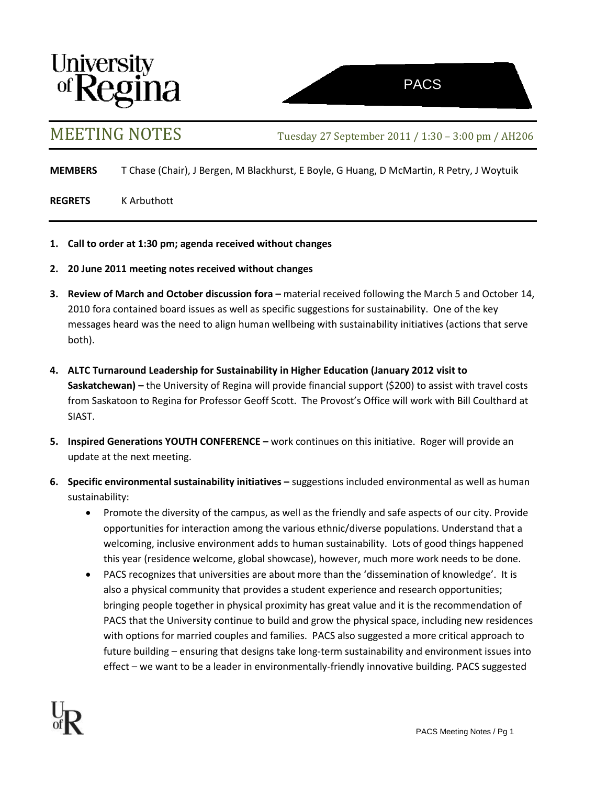



MEETING NOTES Tuesday <sup>27</sup> September 2011 / 1:30 – 3:00 pm / AH206

**MEMBERS** T Chase (Chair), J Bergen, M Blackhurst, E Boyle, G Huang, D McMartin, R Petry, J Woytuik

**REGRETS** K Arbuthott

- **1. Call to order at 1:30 pm; agenda received without changes**
- **2. 20 June 2011 meeting notes received without changes**
- **3.** Review of March and October discussion fora material received following the March 5 and October 14, 2010 fora contained board issues as well as specific suggestions for sustainability. One of the key messages heard was the need to align human wellbeing with sustainability initiatives (actions that serve both).
- **4. ALTC Turnaround Leadership for Sustainability in Higher Education (January 2012 visit to Saskatchewan) –** the University of Regina will provide financial support (\$200) to assist with travel costs from Saskatoon to Regina for Professor Geoff Scott. The Provost's Office will work with Bill Coulthard at SIAST.
- **5. Inspired Generations YOUTH CONFERENCE –** work continues on this initiative. Roger will provide an update at the next meeting.
- **6. Specific environmental sustainability initiatives –** suggestions included environmental as well as human sustainability:
	- Promote the diversity of the campus, as well as the friendly and safe aspects of our city. Provide opportunities for interaction among the various ethnic/diverse populations. Understand that a welcoming, inclusive environment adds to human sustainability. Lots of good things happened this year (residence welcome, global showcase), however, much more work needs to be done.
	- PACS recognizes that universities are about more than the 'dissemination of knowledge'. It is also a physical community that provides a student experience and research opportunities; bringing people together in physical proximity has great value and it is the recommendation of PACS that the University continue to build and grow the physical space, including new residences with options for married couples and families. PACS also suggested a more critical approach to future building – ensuring that designs take long-term sustainability and environment issues into effect – we want to be a leader in environmentally-friendly innovative building. PACS suggested